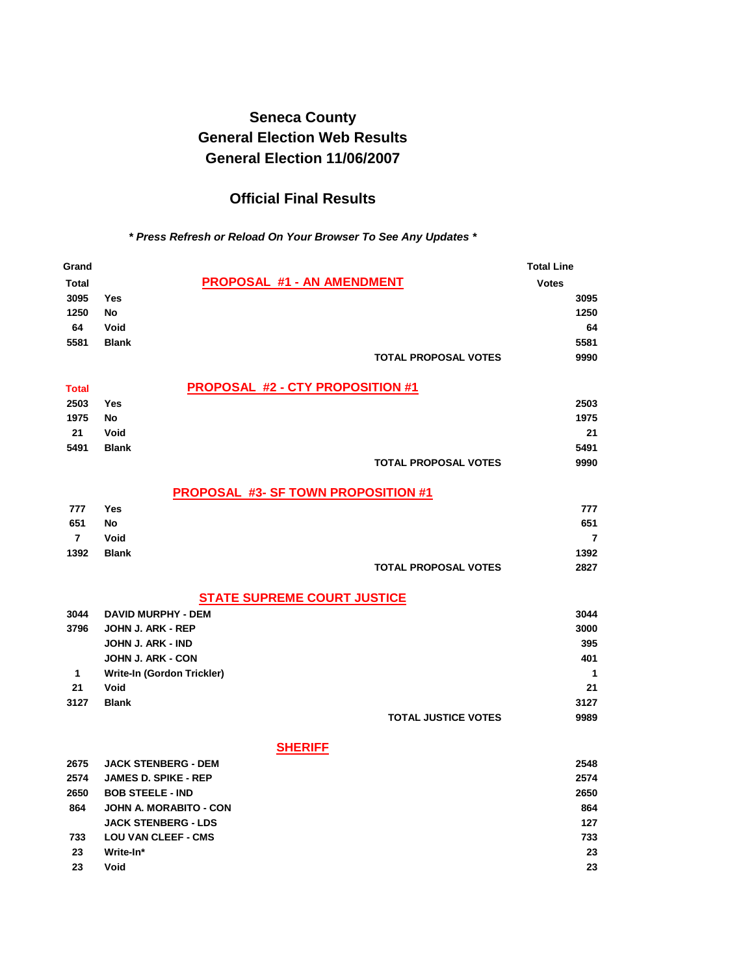# **Seneca County General Election Web Results General Election 11/06/2007**

# **Official Final Results**

### *\* Press Refresh or Reload On Your Browser To See Any Updates \**

| Grand          |                                            | <b>Total Line</b> |
|----------------|--------------------------------------------|-------------------|
| <b>Total</b>   | <b>PROPOSAL #1 - AN AMENDMENT</b>          | <b>Votes</b>      |
| 3095           | <b>Yes</b>                                 | 3095              |
| 1250           | <b>No</b>                                  | 1250              |
| 64             | Void                                       | 64                |
| 5581           | <b>Blank</b>                               | 5581              |
|                | <b>TOTAL PROPOSAL VOTES</b>                | 9990              |
| <b>Total</b>   | <b>PROPOSAL #2 - CTY PROPOSITION #1</b>    |                   |
| 2503           | Yes                                        | 2503              |
| 1975           | <b>No</b>                                  | 1975              |
| 21             | Void                                       | 21                |
| 5491           | <b>Blank</b>                               | 5491              |
|                | <b>TOTAL PROPOSAL VOTES</b>                | 9990              |
|                | <b>PROPOSAL #3- SF TOWN PROPOSITION #1</b> |                   |
| 777            | <b>Yes</b>                                 | 777               |
| 651            | <b>No</b>                                  | 651               |
| $\overline{7}$ | Void                                       | $\overline{7}$    |
| 1392           | <b>Blank</b>                               | 1392              |
|                | <b>TOTAL PROPOSAL VOTES</b>                | 2827              |
|                | <b>STATE SUPREME COURT JUSTICE</b>         |                   |
| 3044           | <b>DAVID MURPHY - DEM</b>                  | 3044              |
| 3796           | JOHN J. ARK - REP                          | 3000              |
|                | JOHN J. ARK - IND                          | 395               |
|                | <b>JOHN J. ARK - CON</b>                   | 401               |
| $\mathbf{1}$   | Write-In (Gordon Trickler)                 | 1                 |
| 21             | Void                                       | 21                |
| 3127           | <b>Blank</b>                               | 3127              |
|                | <b>TOTAL JUSTICE VOTES</b>                 | 9989              |
|                | <b>SHERIFF</b>                             |                   |
| 2675           | <b>JACK STENBERG - DEM</b>                 | 2548              |
| 2574           | <b>JAMES D. SPIKE - REP</b>                | 2574              |
| 2650           | <b>BOB STEELE - IND</b>                    | 2650              |
| 864            | JOHN A. MORABITO - CON                     | 864               |
|                | <b>JACK STENBERG - LDS</b>                 | 127               |
| 733            | <b>LOU VAN CLEEF - CMS</b>                 | 733               |
| 23             | Write-In*                                  | 23                |
| 23             | Void                                       | 23                |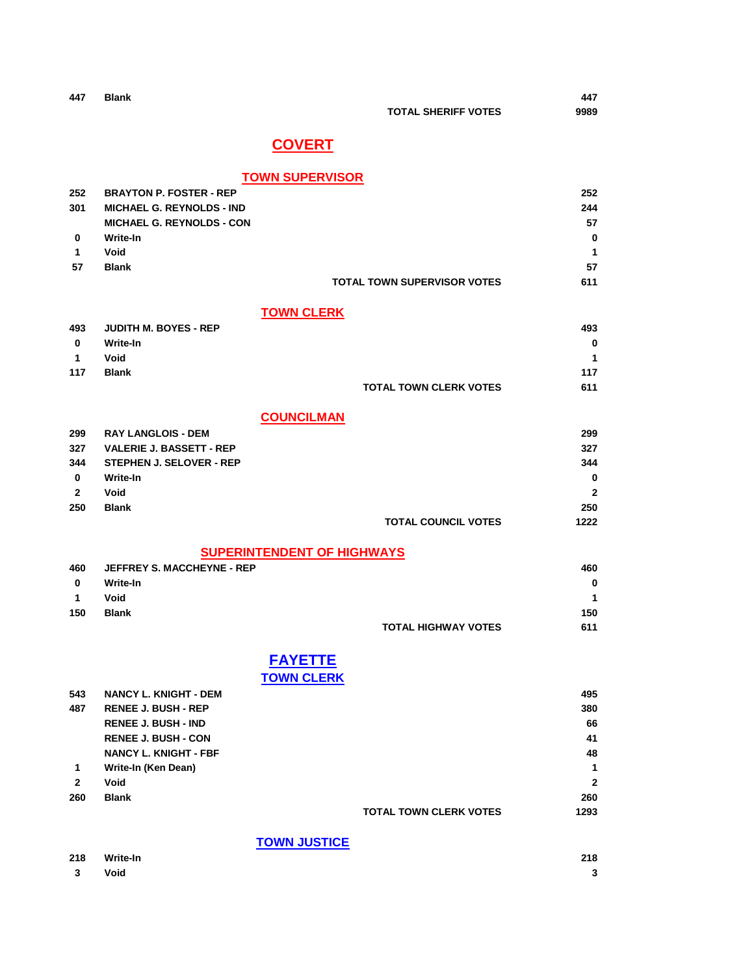| 447 | <b>Blank</b> |                            | 447  |
|-----|--------------|----------------------------|------|
|     |              | <b>TOTAL SHERIFF VOTES</b> | 9989 |

# **COVERT**

### **TOWN SUPERVISOR**

| 252 | <b>BRAYTON P. FOSTER - REP</b>   |                                    | 252      |
|-----|----------------------------------|------------------------------------|----------|
| 301 | <b>MICHAEL G. REYNOLDS - IND</b> |                                    | 244      |
|     | <b>MICHAEL G. REYNOLDS - CON</b> |                                    | 57       |
| 0   | Write-In                         |                                    | $\bf{0}$ |
| 1   | Void                             |                                    | 1        |
| 57  | <b>Blank</b>                     |                                    | 57       |
|     |                                  | <b>TOTAL TOWN SUPERVISOR VOTES</b> | 611      |

### **TOWN CLERK**

| 493            | <b>JUDITH M. BOYES - REP</b> |                               | 493 |
|----------------|------------------------------|-------------------------------|-----|
| 0              | Write-In                     |                               | 0   |
| $\overline{1}$ | Void                         |                               | 1   |
| 117            | <b>Blank</b>                 |                               | 117 |
|                |                              | <b>TOTAL TOWN CLERK VOTES</b> | 611 |

### **COUNCILMAN**

| 299          | <b>RAY LANGLOIS - DEM</b>       |                            | 299          |
|--------------|---------------------------------|----------------------------|--------------|
| 327          | <b>VALERIE J. BASSETT - REP</b> |                            | 327          |
| 344          | <b>STEPHEN J. SELOVER - REP</b> |                            | 344          |
| $\bf{0}$     | Write-In                        |                            | $\bf{0}$     |
| $\mathbf{2}$ | Void                            |                            | $\mathbf{2}$ |
| 250          | <b>Blank</b>                    |                            | 250          |
|              |                                 | <b>TOTAL COUNCIL VOTES</b> | 1222         |

## **SUPERINTENDENT OF HIGHWAYS**

| 460 | <b>JEFFREY S. MACCHEYNE - REP</b> |                            | 460      |
|-----|-----------------------------------|----------------------------|----------|
| 0   | Write-In                          |                            | $\bf{0}$ |
| -1  | Void                              |                            | 1        |
| 150 | <b>Blank</b>                      |                            | 150      |
|     |                                   | <b>TOTAL HIGHWAY VOTES</b> | 611      |

## **FAYETTE TOWN CLERK**

| 543          | <b>NANCY L. KNIGHT - DEM</b> |                               | 495          |
|--------------|------------------------------|-------------------------------|--------------|
| 487          | <b>RENEE J. BUSH - REP</b>   |                               | 380          |
|              | <b>RENEE J. BUSH - IND</b>   |                               | 66           |
|              | <b>RENEE J. BUSH - CON</b>   |                               | 41           |
|              | <b>NANCY L. KNIGHT - FBF</b> |                               | 48           |
| 1            | Write-In (Ken Dean)          |                               | 1            |
| $\mathbf{2}$ | Void                         |                               | $\mathbf{2}$ |
| 260          | <b>Blank</b>                 |                               | 260          |
|              |                              | <b>TOTAL TOWN CLERK VOTES</b> | 1293         |
|              |                              |                               |              |

### **TOWN JUSTICE**

| 218    | Write-In | 218 |
|--------|----------|-----|
| 3 Void |          |     |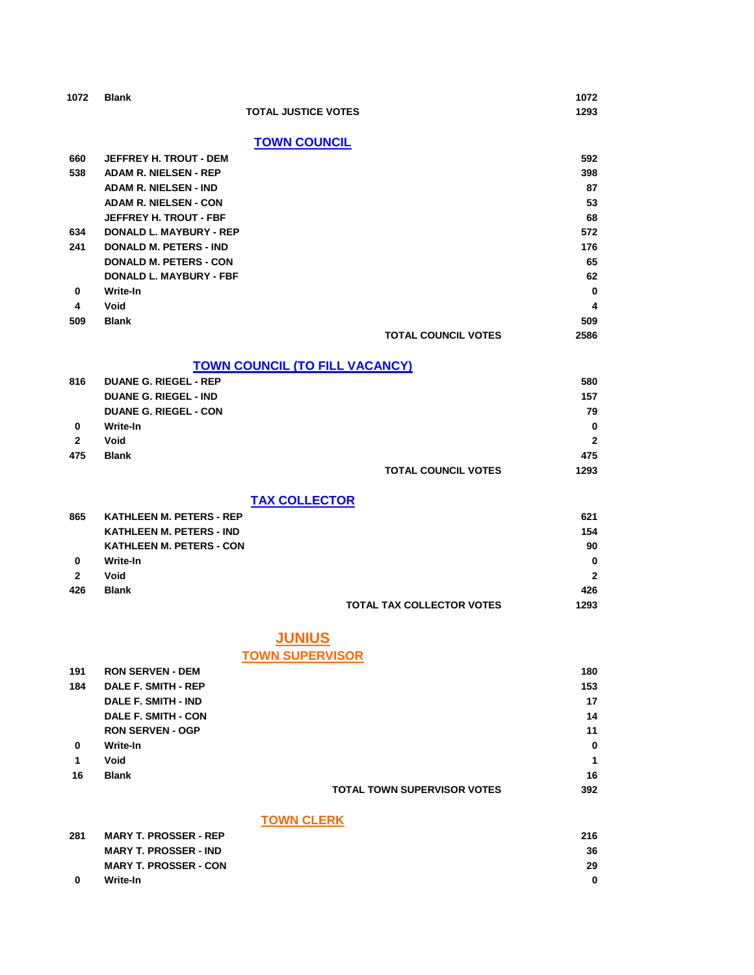| 1072           | <b>Blank</b>                          | 1072         |
|----------------|---------------------------------------|--------------|
|                | <b>TOTAL JUSTICE VOTES</b>            | 1293         |
|                | <b>TOWN COUNCIL</b>                   |              |
| 660            | <b>JEFFREY H. TROUT - DEM</b>         | 592          |
| 538            | <b>ADAM R. NIELSEN - REP</b>          | 398          |
|                | <b>ADAM R. NIELSEN - IND</b>          | 87           |
|                | <b>ADAM R. NIELSEN - CON</b>          | 53           |
|                | <b>JEFFREY H. TROUT - FBF</b>         | 68           |
| 634            | <b>DONALD L. MAYBURY - REP</b>        | 572          |
| 241            | <b>DONALD M. PETERS - IND</b>         | 176          |
|                | <b>DONALD M. PETERS - CON</b>         | 65           |
|                | DONALD L. MAYBURY - FBF               | 62           |
| $\bf{0}$       | Write-In                              | $\bf{0}$     |
| 4              | Void                                  | 4            |
| 509            | <b>Blank</b>                          | 509          |
|                | <b>TOTAL COUNCIL VOTES</b>            | 2586         |
|                | <b>TOWN COUNCIL (TO FILL VACANCY)</b> |              |
| 816            | <b>DUANE G. RIEGEL - REP</b>          | 580          |
|                | <b>DUANE G. RIEGEL - IND</b>          | 157          |
|                | <b>DUANE G. RIEGEL - CON</b>          | 79           |
| 0              | Write-In                              | 0            |
| $\overline{2}$ | Void                                  | $\mathbf{2}$ |
| 475            | <b>Blank</b>                          | 475          |
|                | <b>TOTAL COUNCIL VOTES</b>            | 1293         |

### **TAX COLLECTOR**

| 865 | <b>KATHLEEN M. PETERS - REP</b> |                                  | 621            |
|-----|---------------------------------|----------------------------------|----------------|
|     | <b>KATHLEEN M. PETERS - IND</b> |                                  | 154            |
|     | <b>KATHLEEN M. PETERS - CON</b> |                                  | 90             |
| 0   | Write-In                        |                                  | $\bf{0}$       |
| 2   | Void                            |                                  | $\overline{2}$ |
| 426 | <b>Blank</b>                    |                                  | 426            |
|     |                                 | <b>TOTAL TAX COLLECTOR VOTES</b> | 1293           |

# **JUNIUS**

## **TOWN SUPERVISOR**

| 191 | <b>RON SERVEN - DEM</b>    |                                    | 180      |
|-----|----------------------------|------------------------------------|----------|
| 184 | <b>DALE F. SMITH - REP</b> |                                    | 153      |
|     | <b>DALE F. SMITH - IND</b> |                                    | 17       |
|     | <b>DALE F. SMITH - CON</b> |                                    | 14       |
|     | <b>RON SERVEN - OGP</b>    |                                    | 11       |
| 0   | Write-In                   |                                    | $\bf{0}$ |
| 1   | Void                       |                                    | 1        |
| 16  | <b>Blank</b>               |                                    | 16       |
|     |                            | <b>TOTAL TOWN SUPERVISOR VOTES</b> | 392      |

### **TOWN CLERK**

| 281 | <b>MARY T. PROSSER - REP</b> | 216 |
|-----|------------------------------|-----|
|     | <b>MARY T. PROSSER - IND</b> | 36  |
|     | <b>MARY T. PROSSER - CON</b> | 29  |
| - 0 | Write-In                     |     |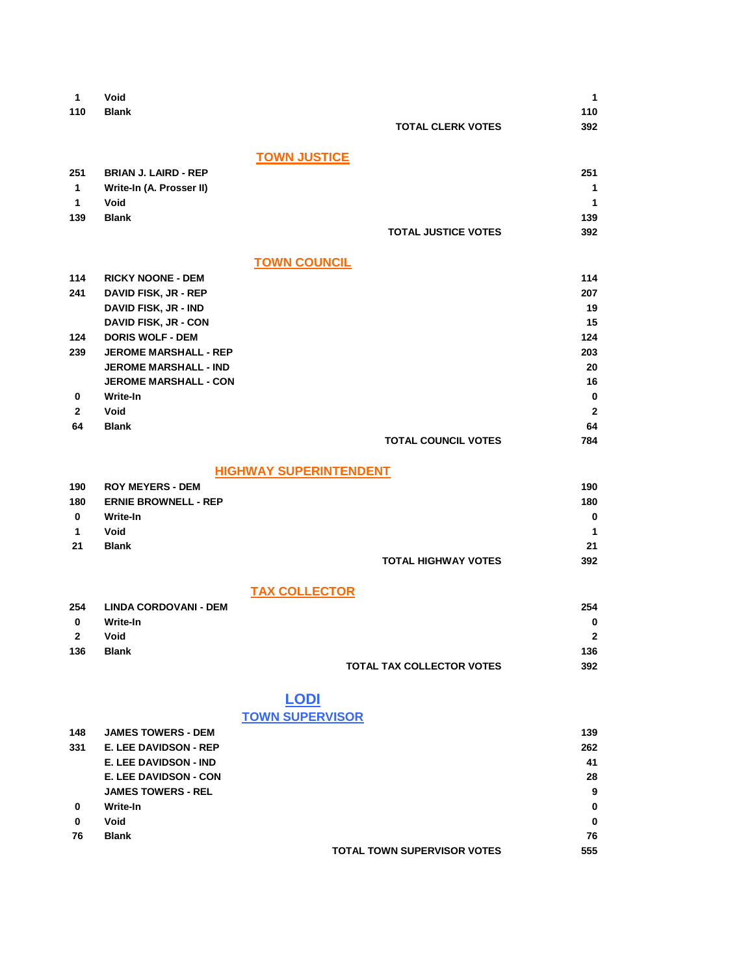| Void                     |                                                                                                                                                                                                                                                                                                                                                                                                                                                                                                 | $\mathbf{1}$                                                                                                                                                                                                                        |
|--------------------------|-------------------------------------------------------------------------------------------------------------------------------------------------------------------------------------------------------------------------------------------------------------------------------------------------------------------------------------------------------------------------------------------------------------------------------------------------------------------------------------------------|-------------------------------------------------------------------------------------------------------------------------------------------------------------------------------------------------------------------------------------|
| <b>Blank</b>             |                                                                                                                                                                                                                                                                                                                                                                                                                                                                                                 | 110                                                                                                                                                                                                                                 |
|                          |                                                                                                                                                                                                                                                                                                                                                                                                                                                                                                 | 392                                                                                                                                                                                                                                 |
|                          |                                                                                                                                                                                                                                                                                                                                                                                                                                                                                                 |                                                                                                                                                                                                                                     |
|                          |                                                                                                                                                                                                                                                                                                                                                                                                                                                                                                 |                                                                                                                                                                                                                                     |
|                          |                                                                                                                                                                                                                                                                                                                                                                                                                                                                                                 |                                                                                                                                                                                                                                     |
|                          |                                                                                                                                                                                                                                                                                                                                                                                                                                                                                                 | 251                                                                                                                                                                                                                                 |
|                          |                                                                                                                                                                                                                                                                                                                                                                                                                                                                                                 | 1                                                                                                                                                                                                                                   |
|                          |                                                                                                                                                                                                                                                                                                                                                                                                                                                                                                 | $\mathbf{1}$                                                                                                                                                                                                                        |
| <b>Blank</b>             |                                                                                                                                                                                                                                                                                                                                                                                                                                                                                                 | 139                                                                                                                                                                                                                                 |
|                          | <b>TOTAL JUSTICE VOTES</b>                                                                                                                                                                                                                                                                                                                                                                                                                                                                      | 392                                                                                                                                                                                                                                 |
|                          |                                                                                                                                                                                                                                                                                                                                                                                                                                                                                                 |                                                                                                                                                                                                                                     |
|                          |                                                                                                                                                                                                                                                                                                                                                                                                                                                                                                 |                                                                                                                                                                                                                                     |
| <b>RICKY NOONE - DEM</b> |                                                                                                                                                                                                                                                                                                                                                                                                                                                                                                 | 114                                                                                                                                                                                                                                 |
|                          |                                                                                                                                                                                                                                                                                                                                                                                                                                                                                                 | 207                                                                                                                                                                                                                                 |
|                          |                                                                                                                                                                                                                                                                                                                                                                                                                                                                                                 | 19                                                                                                                                                                                                                                  |
|                          |                                                                                                                                                                                                                                                                                                                                                                                                                                                                                                 | 15                                                                                                                                                                                                                                  |
|                          |                                                                                                                                                                                                                                                                                                                                                                                                                                                                                                 | 124                                                                                                                                                                                                                                 |
|                          |                                                                                                                                                                                                                                                                                                                                                                                                                                                                                                 | 203                                                                                                                                                                                                                                 |
|                          |                                                                                                                                                                                                                                                                                                                                                                                                                                                                                                 |                                                                                                                                                                                                                                     |
|                          |                                                                                                                                                                                                                                                                                                                                                                                                                                                                                                 | 20                                                                                                                                                                                                                                  |
|                          |                                                                                                                                                                                                                                                                                                                                                                                                                                                                                                 | 16                                                                                                                                                                                                                                  |
|                          |                                                                                                                                                                                                                                                                                                                                                                                                                                                                                                 | 0                                                                                                                                                                                                                                   |
| Void                     |                                                                                                                                                                                                                                                                                                                                                                                                                                                                                                 | $\mathbf{2}$                                                                                                                                                                                                                        |
| <b>Blank</b>             |                                                                                                                                                                                                                                                                                                                                                                                                                                                                                                 | 64                                                                                                                                                                                                                                  |
|                          | <b>TOTAL COUNCIL VOTES</b>                                                                                                                                                                                                                                                                                                                                                                                                                                                                      | 784                                                                                                                                                                                                                                 |
|                          |                                                                                                                                                                                                                                                                                                                                                                                                                                                                                                 |                                                                                                                                                                                                                                     |
|                          |                                                                                                                                                                                                                                                                                                                                                                                                                                                                                                 |                                                                                                                                                                                                                                     |
|                          |                                                                                                                                                                                                                                                                                                                                                                                                                                                                                                 | 190                                                                                                                                                                                                                                 |
|                          |                                                                                                                                                                                                                                                                                                                                                                                                                                                                                                 | 180                                                                                                                                                                                                                                 |
|                          |                                                                                                                                                                                                                                                                                                                                                                                                                                                                                                 | 0                                                                                                                                                                                                                                   |
|                          |                                                                                                                                                                                                                                                                                                                                                                                                                                                                                                 | 1                                                                                                                                                                                                                                   |
|                          |                                                                                                                                                                                                                                                                                                                                                                                                                                                                                                 | 21                                                                                                                                                                                                                                  |
|                          |                                                                                                                                                                                                                                                                                                                                                                                                                                                                                                 |                                                                                                                                                                                                                                     |
|                          |                                                                                                                                                                                                                                                                                                                                                                                                                                                                                                 | 392                                                                                                                                                                                                                                 |
|                          |                                                                                                                                                                                                                                                                                                                                                                                                                                                                                                 |                                                                                                                                                                                                                                     |
|                          |                                                                                                                                                                                                                                                                                                                                                                                                                                                                                                 |                                                                                                                                                                                                                                     |
|                          |                                                                                                                                                                                                                                                                                                                                                                                                                                                                                                 | 254                                                                                                                                                                                                                                 |
| Write-In                 |                                                                                                                                                                                                                                                                                                                                                                                                                                                                                                 | 0                                                                                                                                                                                                                                   |
|                          |                                                                                                                                                                                                                                                                                                                                                                                                                                                                                                 | $\mathbf{2}$                                                                                                                                                                                                                        |
| <b>Blank</b>             |                                                                                                                                                                                                                                                                                                                                                                                                                                                                                                 | 136                                                                                                                                                                                                                                 |
|                          | TOTAL TAX COLLECTOR VOTES                                                                                                                                                                                                                                                                                                                                                                                                                                                                       | 392                                                                                                                                                                                                                                 |
|                          |                                                                                                                                                                                                                                                                                                                                                                                                                                                                                                 |                                                                                                                                                                                                                                     |
|                          |                                                                                                                                                                                                                                                                                                                                                                                                                                                                                                 |                                                                                                                                                                                                                                     |
|                          |                                                                                                                                                                                                                                                                                                                                                                                                                                                                                                 |                                                                                                                                                                                                                                     |
|                          |                                                                                                                                                                                                                                                                                                                                                                                                                                                                                                 |                                                                                                                                                                                                                                     |
|                          |                                                                                                                                                                                                                                                                                                                                                                                                                                                                                                 | 139                                                                                                                                                                                                                                 |
|                          |                                                                                                                                                                                                                                                                                                                                                                                                                                                                                                 | 262                                                                                                                                                                                                                                 |
| E. LEE DAVIDSON - IND    |                                                                                                                                                                                                                                                                                                                                                                                                                                                                                                 | 41                                                                                                                                                                                                                                  |
| E. LEE DAVIDSON - CON    |                                                                                                                                                                                                                                                                                                                                                                                                                                                                                                 | 28                                                                                                                                                                                                                                  |
|                          |                                                                                                                                                                                                                                                                                                                                                                                                                                                                                                 | 9                                                                                                                                                                                                                                   |
|                          |                                                                                                                                                                                                                                                                                                                                                                                                                                                                                                 |                                                                                                                                                                                                                                     |
| Write-In                 |                                                                                                                                                                                                                                                                                                                                                                                                                                                                                                 | 0                                                                                                                                                                                                                                   |
| Void                     |                                                                                                                                                                                                                                                                                                                                                                                                                                                                                                 | 0                                                                                                                                                                                                                                   |
|                          | <b>BRIAN J. LAIRD - REP</b><br>Write-In (A. Prosser II)<br>Void<br><b>DAVID FISK, JR - REP</b><br><b>DAVID FISK, JR - IND</b><br><b>DAVID FISK, JR - CON</b><br><b>DORIS WOLF - DEM</b><br><b>JEROME MARSHALL - REP</b><br><b>JEROME MARSHALL - IND</b><br><b>JEROME MARSHALL - CON</b><br>Write-In<br><b>ROY MEYERS - DEM</b><br><b>ERNIE BROWNELL - REP</b><br>Write-In<br>Void<br><b>Blank</b><br><b>LINDA CORDOVANI - DEM</b><br>Void<br><b>JAMES TOWERS - DEM</b><br>E. LEE DAVIDSON - REP | <b>TOTAL CLERK VOTES</b><br><b>TOWN JUSTICE</b><br><b>TOWN COUNCIL</b><br><b>HIGHWAY SUPERINTENDENT</b><br><b>TOTAL HIGHWAY VOTES</b><br><b>TAX COLLECTOR</b><br><b>LODI</b><br><b>TOWN SUPERVISOR</b><br><b>JAMES TOWERS - REL</b> |

**TOTAL TOWN SUPERVISOR VOTES 555**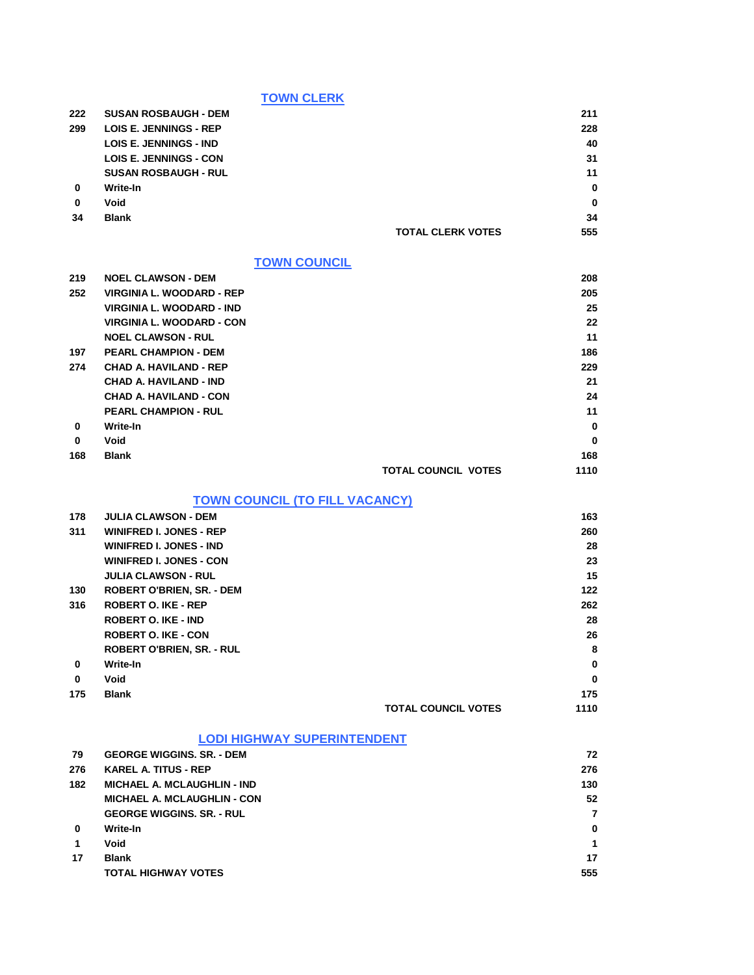**TOWN CLERK**

| 222         | <b>SUSAN ROSBAUGH - DEM</b>   |                          | 211         |
|-------------|-------------------------------|--------------------------|-------------|
| 299         | <b>LOIS E. JENNINGS - REP</b> |                          | 228         |
|             | <b>LOIS E. JENNINGS - IND</b> |                          | 40          |
|             | <b>LOIS E. JENNINGS - CON</b> |                          | 31          |
|             | <b>SUSAN ROSBAUGH - RUL</b>   |                          | 11          |
| 0           | Write-In                      |                          | $\bf{0}$    |
| $\mathbf 0$ | Void                          |                          | $\mathbf 0$ |
| 34          | <b>Blank</b>                  |                          | 34          |
|             |                               | <b>TOTAL CLERK VOTES</b> | 555         |

### **TOWN COUNCIL**

| 219      | <b>NOEL CLAWSON - DEM</b>        |                            | 208      |
|----------|----------------------------------|----------------------------|----------|
| 252      | VIRGINIA L. WOODARD - REP        |                            | 205      |
|          | VIRGINIA L. WOODARD - IND        |                            | 25       |
|          | <b>VIRGINIA L. WOODARD - CON</b> |                            | 22       |
|          | <b>NOEL CLAWSON - RUL</b>        |                            | 11       |
| 197      | <b>PEARL CHAMPION - DEM</b>      |                            | 186      |
| 274      | <b>CHAD A. HAVILAND - REP</b>    |                            | 229      |
|          | <b>CHAD A. HAVILAND - IND</b>    |                            | 21       |
|          | <b>CHAD A. HAVILAND - CON</b>    |                            | 24       |
|          | <b>PEARL CHAMPION - RUL</b>      |                            | 11       |
| 0        | Write-In                         |                            | 0        |
| $\bf{0}$ | Void                             |                            | $\bf{0}$ |
| 168      | <b>Blank</b>                     |                            | 168      |
|          |                                  | <b>TOTAL COUNCIL VOTES</b> | 1110     |

### **TOWN COUNCIL (TO FILL VACANCY)**

| 178      | <b>JULIA CLAWSON - DEM</b>       |                            | 163          |
|----------|----------------------------------|----------------------------|--------------|
| 311      | <b>WINIFRED I. JONES - REP</b>   |                            | 260          |
|          | <b>WINIFRED I. JONES - IND</b>   |                            | 28           |
|          | <b>WINIFRED I. JONES - CON</b>   |                            | 23           |
|          | <b>JULIA CLAWSON - RUL</b>       |                            | 15           |
| 130      | <b>ROBERT O'BRIEN, SR. - DEM</b> |                            | 122          |
| 316      | <b>ROBERT O. IKE - REP</b>       |                            | 262          |
|          | <b>ROBERT O. IKE - IND</b>       |                            | 28           |
|          | <b>ROBERT O. IKE - CON</b>       |                            | 26           |
|          | <b>ROBERT O'BRIEN, SR. - RUL</b> |                            | 8            |
| 0        | Write-In                         |                            | $\bf{0}$     |
| $\bf{0}$ | Void                             |                            | $\mathbf{0}$ |
| 175      | <b>Blank</b>                     |                            | 175          |
|          |                                  | <b>TOTAL COUNCIL VOTES</b> | 1110         |
|          |                                  |                            |              |

### **LODI HIGHWAY SUPERINTENDENT**

| 79           | <b>GEORGE WIGGINS, SR. - DEM</b>   | 72  |
|--------------|------------------------------------|-----|
| 276          | <b>KAREL A. TITUS - REP</b>        | 276 |
| 182          | <b>MICHAEL A. MCLAUGHLIN - IND</b> | 130 |
|              | <b>MICHAEL A. MCLAUGHLIN - CON</b> | 52  |
|              | <b>GEORGE WIGGINS, SR. - RUL</b>   |     |
| $\mathbf{0}$ | Write-In                           | 0   |
| 1            | Void                               |     |
| 17           | <b>Blank</b>                       | 17  |
|              | <b>TOTAL HIGHWAY VOTES</b>         | 555 |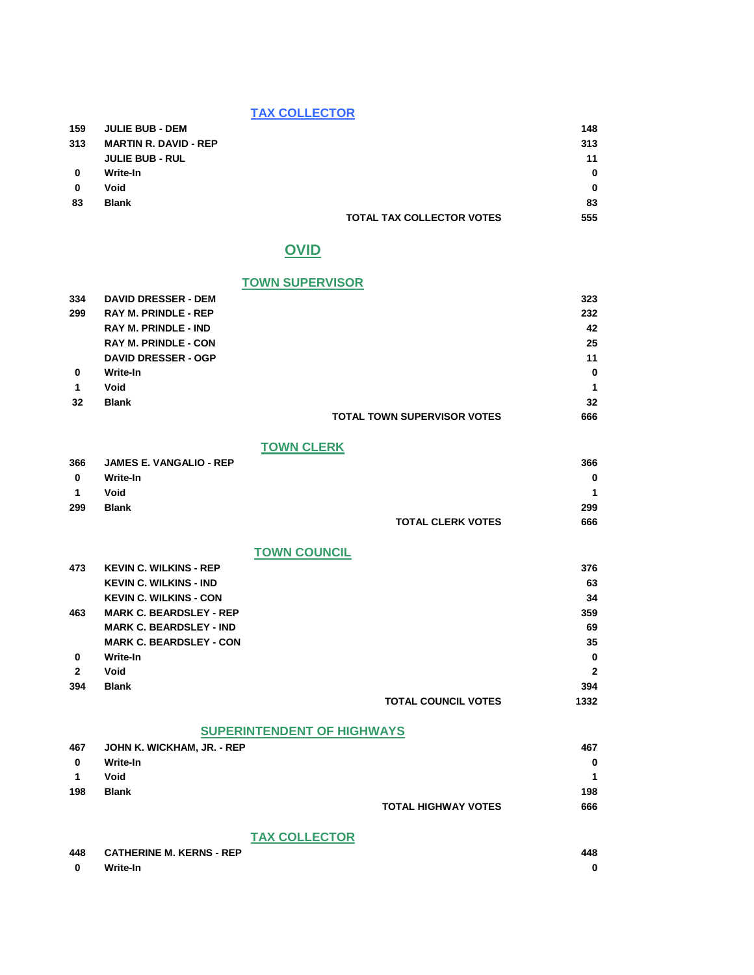#### **TAX COLLECTOR**

| 159      | <b>JULIE BUB - DEM</b>       |                                  | 148      |
|----------|------------------------------|----------------------------------|----------|
| 313      | <b>MARTIN R. DAVID - REP</b> |                                  | 313      |
|          | <b>JULIE BUB - RUL</b>       |                                  | 11       |
| $\bf{0}$ | Write-In                     |                                  | $\bf{0}$ |
| 0        | Void                         |                                  | $\bf{0}$ |
| 83       | <b>Blank</b>                 |                                  | 83       |
|          |                              | <b>TOTAL TAX COLLECTOR VOTES</b> | 555      |

## **OVID**

#### **TOWN SUPERVISOR**

| 334             | <b>DAVID DRESSER - DEM</b>  |                                    | 323         |
|-----------------|-----------------------------|------------------------------------|-------------|
| 299             | <b>RAY M. PRINDLE - REP</b> |                                    | 232         |
|                 | <b>RAY M. PRINDLE - IND</b> |                                    | 42          |
|                 | <b>RAY M. PRINDLE - CON</b> |                                    | 25          |
|                 | <b>DAVID DRESSER - OGP</b>  |                                    | 11          |
| $\mathbf{0}$    | Write-In                    |                                    | $\mathbf 0$ |
| 1               | Void                        |                                    | 1           |
| $32\phantom{a}$ | <b>Blank</b>                |                                    | 32          |
|                 |                             | <b>TOTAL TOWN SUPERVISOR VOTES</b> | 666         |
|                 |                             |                                    |             |

### **TOWN CLERK**

| 366          | <b>JAMES E. VANGALIO - REP</b> |                          | 366      |
|--------------|--------------------------------|--------------------------|----------|
| 0            | Write-In                       |                          | $\bf{0}$ |
| $\mathbf{1}$ | Void                           |                          | 1        |
| 299          | <b>Blank</b>                   |                          | 299      |
|              |                                | <b>TOTAL CLERK VOTES</b> | 666      |

### **TOWN COUNCIL**

| 473          | <b>KEVIN C. WILKINS - REP</b>  |                            | 376          |
|--------------|--------------------------------|----------------------------|--------------|
|              | <b>KEVIN C. WILKINS - IND</b>  |                            | 63           |
|              | <b>KEVIN C. WILKINS - CON</b>  |                            | 34           |
| 463          | <b>MARK C. BEARDSLEY - REP</b> |                            | 359          |
|              | <b>MARK C. BEARDSLEY - IND</b> |                            | 69           |
|              | <b>MARK C. BEARDSLEY - CON</b> |                            | 35           |
| 0            | Write-In                       |                            | $\bf{0}$     |
| $\mathbf{2}$ | Void                           |                            | $\mathbf{2}$ |
| 394          | <b>Blank</b>                   |                            | 394          |
|              |                                | <b>TOTAL COUNCIL VOTES</b> | 1332         |
|              |                                |                            |              |

#### **SUPERINTENDENT OF HIGHWAYS 467 JOHN K. WICKHAM, JR. - REP 467 0 Write-In 0**

| $\blacksquare$ | Void         |                            | 4   |
|----------------|--------------|----------------------------|-----|
| 198            | <b>Blank</b> |                            | 198 |
|                |              | <b>TOTAL HIGHWAY VOTES</b> | 666 |

### **TAX COLLECTOR**

| 448          | <b>CATHERINE M. KERNS - REP</b> | 448 |
|--------------|---------------------------------|-----|
| $\mathbf{0}$ | Write-In                        |     |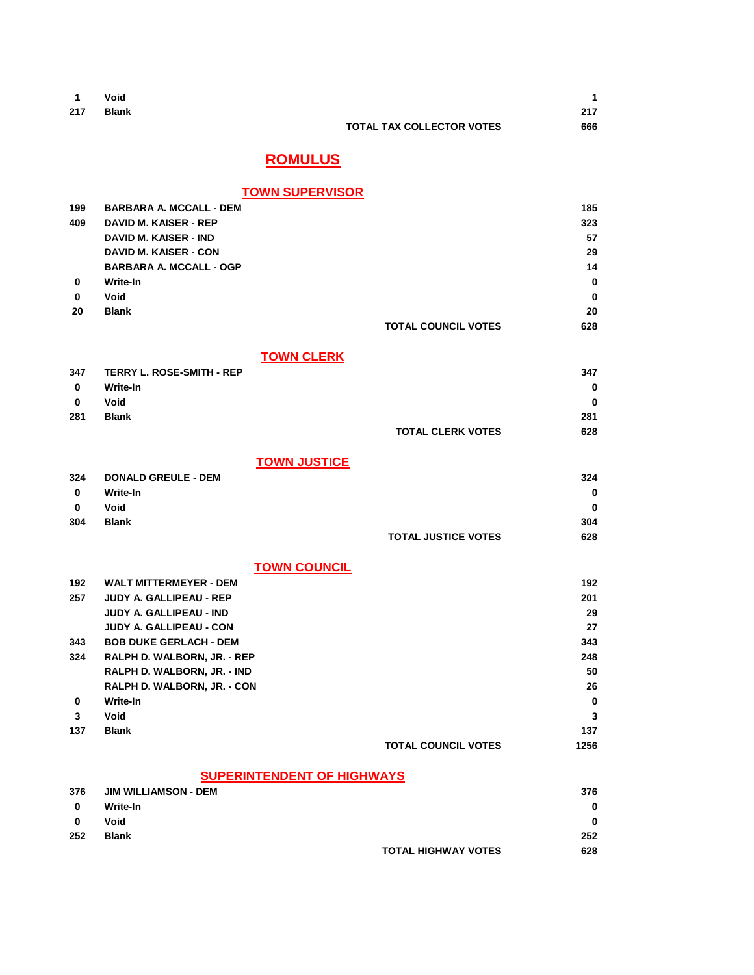| $\blacksquare$ | Void  |                                  | 1   |
|----------------|-------|----------------------------------|-----|
| 217            | Blank |                                  | 217 |
|                |       | <b>TOTAL TAX COLLECTOR VOTES</b> | 666 |
|                |       |                                  |     |

# **ROMULUS**

### **TOWN SUPERVISOR**

| 199          | <b>BARBARA A. MCCALL - DEM</b>   |                            | 185      |
|--------------|----------------------------------|----------------------------|----------|
| 409          | <b>DAVID M. KAISER - REP</b>     |                            | 323      |
|              | <b>DAVID M. KAISER - IND</b>     |                            | 57       |
|              | <b>DAVID M. KAISER - CON</b>     |                            | 29       |
|              | <b>BARBARA A. MCCALL - OGP</b>   |                            | 14       |
| 0            | Write-In                         |                            | 0        |
| 0            | Void                             |                            | $\bf{0}$ |
| 20           | <b>Blank</b>                     |                            | 20       |
|              |                                  | <b>TOTAL COUNCIL VOTES</b> | 628      |
|              | <b>TOWN CLERK</b>                |                            |          |
| 347          | <b>TERRY L. ROSE-SMITH - REP</b> |                            | 347      |
| $\mathbf{0}$ | <b>Write-In</b>                  |                            | 0        |
| $\bf{0}$     | Void                             |                            | 0        |
| 281          | <b>Blank</b>                     |                            | 281      |
|              |                                  | <b>TOTAL CLERK VOTES</b>   | 628      |
|              | <b>TOWN JUSTICE</b>              |                            |          |
| 324          | <b>DONALD GREULE - DEM</b>       |                            | 324      |
| $\mathbf 0$  | <b>Write-In</b>                  |                            | $\bf{0}$ |
| $\bf{0}$     | Void                             |                            | 0        |
| 304          | <b>Blank</b>                     |                            | 304      |
|              |                                  | <b>TOTAL JUSTICE VOTES</b> | 628      |
|              | <b>TOWN COUNCIL</b>              |                            |          |
| 192          | <b>WALT MITTERMEYER - DEM</b>    |                            | 192      |
| 257          | <b>JUDY A. GALLIPEAU - REP</b>   |                            | 201      |
|              | JUDY A. GALLIPEAU - IND          |                            | 29       |
|              | <b>JUDY A. GALLIPEAU - CON</b>   |                            | 27       |
| 343          | <b>BOB DUKE GERLACH - DEM</b>    |                            | 343      |
| 324          | RALPH D. WALBORN, JR. - REP      |                            | 248      |
|              | RALPH D. WALBORN, JR. - IND      |                            | 50       |
|              | RALPH D. WALBORN, JR. - CON      |                            | 26       |
|              |                                  |                            |          |

**0 Write-In 0 3 Void 3 137 Blank 137 TOTAL COUNCIL VOTES 1256**

### **SUPERINTENDENT OF HIGHWAYS**

| 376 | <b>JIM WILLIAMSON - DEM</b> |                            | 376      |
|-----|-----------------------------|----------------------------|----------|
| 0   | Write-In                    |                            | $\bf{0}$ |
| 0   | Void                        |                            | $\bf{0}$ |
| 252 | Blank                       |                            | 252      |
|     |                             | <b>TOTAL HIGHWAY VOTES</b> | 628      |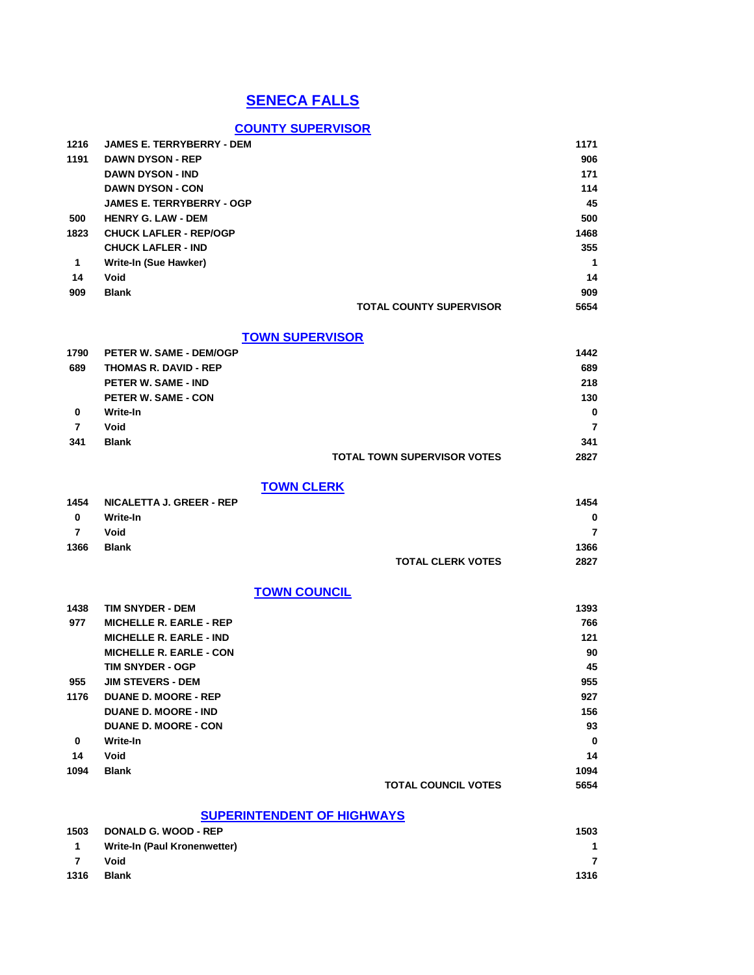# **SENECA FALLS**

## **COUNTY SUPERVISOR**

| 1216         | <b>JAMES E. TERRYBERRY - DEM</b> |                                    | 1171 |
|--------------|----------------------------------|------------------------------------|------|
| 1191         | <b>DAWN DYSON - REP</b>          |                                    | 906  |
|              | <b>DAWN DYSON - IND</b>          |                                    | 171  |
|              | <b>DAWN DYSON - CON</b>          |                                    | 114  |
|              | <b>JAMES E. TERRYBERRY - OGP</b> |                                    | 45   |
| 500          | <b>HENRY G. LAW - DEM</b>        |                                    | 500  |
| 1823         | <b>CHUCK LAFLER - REP/OGP</b>    |                                    | 1468 |
|              | <b>CHUCK LAFLER - IND</b>        |                                    | 355  |
| $\mathbf{1}$ | Write-In (Sue Hawker)            |                                    | 1    |
| 14           | Void                             |                                    | 14   |
| 909          | <b>Blank</b>                     |                                    | 909  |
|              |                                  | <b>TOTAL COUNTY SUPERVISOR</b>     | 5654 |
|              |                                  | <b>TOWN SUPERVISOR</b>             |      |
| 1790         | <b>PETER W. SAME - DEM/OGP</b>   |                                    | 1442 |
| 689          | <b>THOMAS R. DAVID - REP</b>     |                                    | 689  |
|              | <b>PETER W. SAME - IND</b>       |                                    | 218  |
|              | <b>PETER W. SAME - CON</b>       |                                    | 130  |
| 0            | Write-In                         |                                    | 0    |
| 7            | Void                             |                                    | 7    |
| 341          | <b>Blank</b>                     |                                    | 341  |
|              |                                  | <b>TOTAL TOWN SUPERVISOR VOTES</b> | 2827 |
|              |                                  | <b>TOWN CLERK</b>                  |      |
| 1454         | <b>NICALETTA J. GREER - REP</b>  |                                    | 1454 |
| 0            | Write-In                         |                                    | 0    |
| 7            | Void                             |                                    | 7    |
| 1366         | <b>Blank</b>                     |                                    | 1366 |
|              |                                  | <b>TOTAL CLERK VOTES</b>           | 2827 |
|              |                                  | <b>TOWN COUNCIL</b>                |      |
| 1438         | TIM SNYDER - DEM                 |                                    | 1393 |
| 977          | <b>MICHELLE R. EARLE - REP</b>   |                                    | 766  |
|              | <b>MICHELLE R. EARLE - IND</b>   |                                    | 121  |
|              | <b>MICHELLE R. EARLE - CON</b>   |                                    | 90   |
|              | <b>TIM SNYDER - OGP</b>          |                                    | 45   |
| 955          | <b>JIM STEVERS - DEM</b>         |                                    | 955  |
| 1176         | <b>DUANE D. MOORE - REP</b>      |                                    | 927  |
|              | <b>DUANE D. MOORE - IND</b>      |                                    | 156  |
|              | <b>DUANE D. MOORE - CON</b>      |                                    | 93   |
| 0            | Write-In                         |                                    | 0    |
| 14           | Void                             |                                    | 14   |
| 1094         | <b>Blank</b>                     |                                    | 1094 |
|              |                                  | <b>TOTAL COUNCIL VOTES</b>         | 5654 |
|              |                                  | <b>SUPERINTENDENT OF HIGHWAYS</b>  |      |
| 1503         | <b>DONALD G. WOOD - REP</b>      |                                    | 1503 |
| 1            | Write-In (Paul Kronenwetter)     |                                    | 1    |

**7 Void 7 1316 Blank 1316**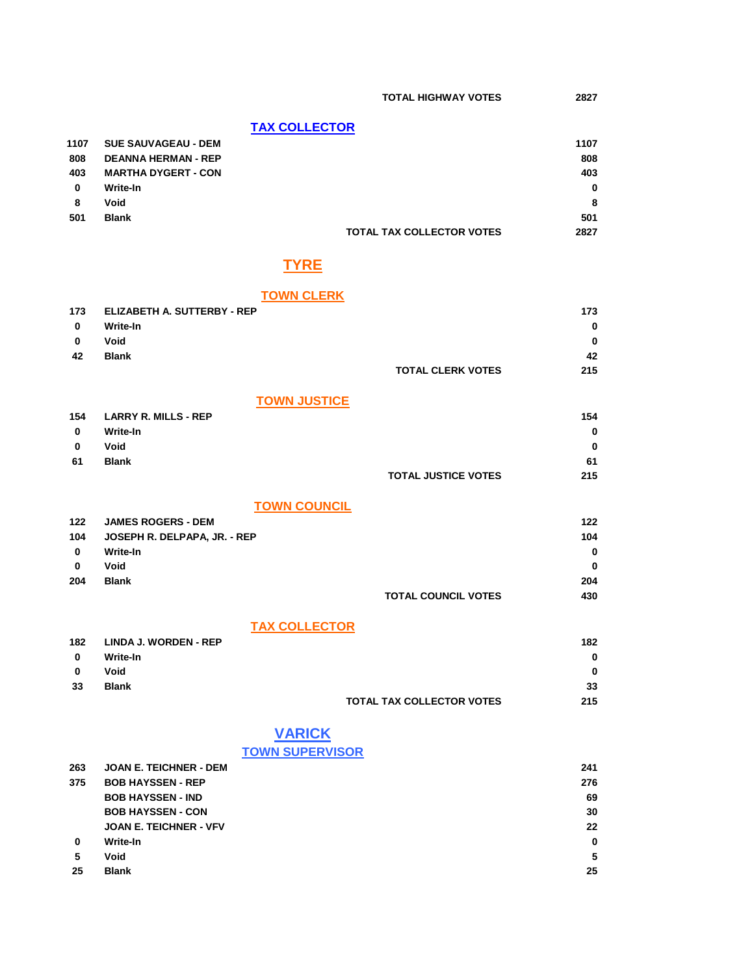### **TAX COLLECTOR**

| 1107 | <b>SUE SAUVAGEAU - DEM</b> |                                  | 1107 |
|------|----------------------------|----------------------------------|------|
| 808  | <b>DEANNA HERMAN - REP</b> |                                  | 808  |
| 403  | <b>MARTHA DYGERT - CON</b> |                                  | 403  |
| 0    | Write-In                   |                                  | 0    |
| 8    | Void                       |                                  | 8    |
| 501  | <b>Blank</b>               |                                  | 501  |
|      |                            | <b>TOTAL TAX COLLECTOR VOTES</b> | 2827 |

## **TYRE**

### **TOWN CLERK**

| 173 | <b>ELIZABETH A. SUTTERBY - REP</b> | 173 |
|-----|------------------------------------|-----|
| 0   | Write-In                           | 0   |
| 0   | Void                               | 0   |
| 42  | <b>Blank</b>                       | 42  |
|     | <b>TOTAL CLERK VOTES</b>           | 215 |

#### **TOWN JUSTICE**

| 154 | <b>LARRY R. MILLS - REP</b> |                            | 154 |
|-----|-----------------------------|----------------------------|-----|
| 0   | Write-In                    |                            | 0   |
| 0   | Void                        |                            | 0   |
| 61  | Blank                       |                            | 61  |
|     |                             | <b>TOTAL JUSTICE VOTES</b> | 215 |

### **TOWN COUNCIL**

| 122      | <b>JAMES ROGERS - DEM</b>    |                            | 122 |
|----------|------------------------------|----------------------------|-----|
| 104      | JOSEPH R. DELPAPA, JR. - REP |                            | 104 |
| $\bf{0}$ | Write-In                     |                            | 0   |
| 0        | Void                         |                            | 0   |
| 204      | <b>Blank</b>                 |                            | 204 |
|          |                              | <b>TOTAL COUNCIL VOTES</b> | 430 |

### **TAX COLLECTOR**

| 182 | LINDA J. WORDEN - REP |                                  | 182 |
|-----|-----------------------|----------------------------------|-----|
| 0   | Write-In              |                                  | 0   |
| 0   | Void                  |                                  | 0   |
| 33  | <b>Blank</b>          |                                  | 33  |
|     |                       | <b>TOTAL TAX COLLECTOR VOTES</b> | 215 |

# **VARICK**

### **TOWN SUPERVISOR**

| 263 | <b>JOAN E. TEICHNER - DEM</b> | 241 |
|-----|-------------------------------|-----|
| 375 | <b>BOB HAYSSEN - REP</b>      | 276 |
|     | <b>BOB HAYSSEN - IND</b>      | 69  |
|     | <b>BOB HAYSSEN - CON</b>      | 30  |
|     | <b>JOAN E. TEICHNER - VFV</b> | 22  |
| 0   | Write-In                      | 0   |
| 5   | Void                          | 5   |
| 25  | <b>Blank</b>                  | 25  |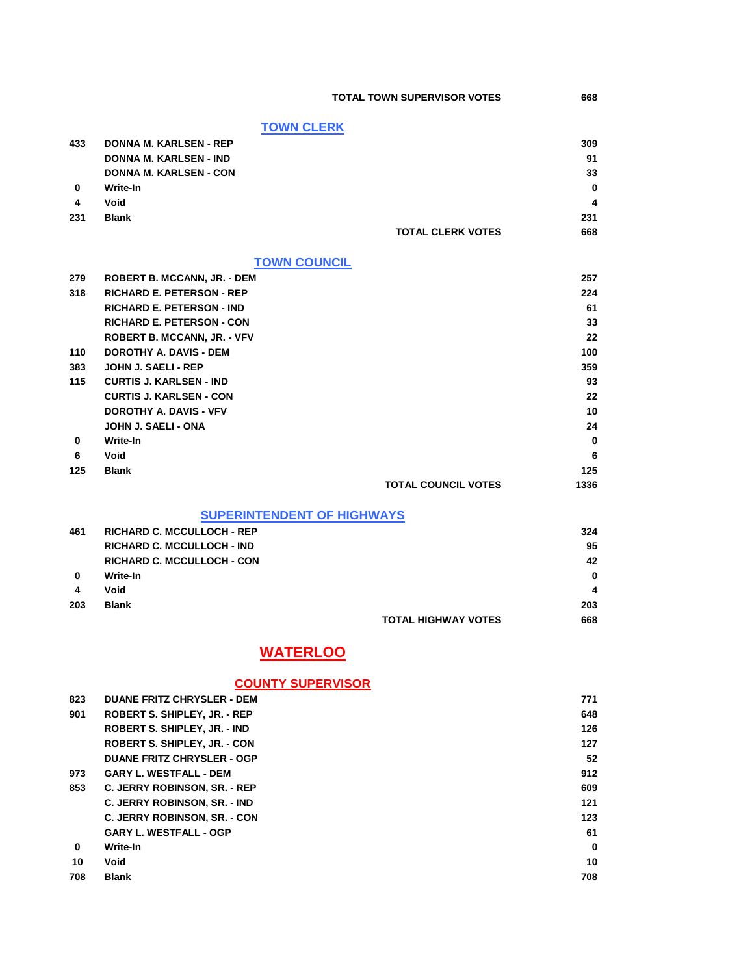**TOTAL TOWN SUPERVISOR VOTES 668**

|     | <b>TOWN CLERK</b>                  |                          |     |
|-----|------------------------------------|--------------------------|-----|
| 433 | <b>DONNA M. KARLSEN - REP</b>      |                          | 309 |
|     | <b>DONNA M. KARLSEN - IND</b>      |                          | 91  |
|     | <b>DONNA M. KARLSEN - CON</b>      |                          | 33  |
| 0   | Write-In                           |                          | 0   |
| 4   | Void                               |                          | 4   |
| 231 | <b>Blank</b>                       |                          | 231 |
|     |                                    | <b>TOTAL CLERK VOTES</b> | 668 |
|     | <b>TOWN COUNCIL</b>                |                          |     |
| 279 | <b>ROBERT B. MCCANN, JR. - DEM</b> |                          | 257 |
| 318 | <b>RICHARD E. PETERSON - REP</b>   |                          | 224 |
|     | <b>RICHARD E. PETERSON - IND</b>   |                          | 61  |
|     | <b>RICHARD E. PETERSON - CON</b>   |                          | 33  |
|     | <b>ROBERT B. MCCANN, JR. - VFV</b> |                          | 22  |
| 110 | <b>DOROTHY A. DAVIS - DEM</b>      |                          | 100 |
| 383 | <b>JOHN J. SAELI - REP</b>         |                          | 359 |
| 115 | <b>CURTIS J. KARLSEN - IND</b>     |                          | 93  |
|     | <b>CURTIS J. KARLSEN - CON</b>     |                          | 22  |

|          | <b>CURTIS J. KARLSEN - CON</b> |                            | 22       |
|----------|--------------------------------|----------------------------|----------|
|          | <b>DOROTHY A. DAVIS - VFV</b>  |                            | 10       |
|          | JOHN J. SAELI - ONA            |                            | 24       |
| $\bf{0}$ | Write-In                       |                            | $\bf{0}$ |
| 6        | Void                           |                            | 6        |
| 125      | <b>Blank</b>                   |                            | 125      |
|          |                                | <b>TOTAL COUNCIL VOTES</b> | 1336     |

### **SUPERINTENDENT OF HIGHWAYS**

| 461      | <b>RICHARD C. MCCULLOCH - REP</b> |                            | 324      |
|----------|-----------------------------------|----------------------------|----------|
|          | <b>RICHARD C. MCCULLOCH - IND</b> |                            | 95       |
|          | <b>RICHARD C. MCCULLOCH - CON</b> |                            | 42       |
| $\bf{0}$ | Write-In                          |                            | $\bf{0}$ |
| 4        | Void                              |                            | 4        |
| 203      | <b>Blank</b>                      |                            | 203      |
|          |                                   | <b>TOTAL HIGHWAY VOTES</b> | 668      |

# **WATERLOO**

### **COUNTY SUPERVISOR**

| 823 | <b>DUANE FRITZ CHRYSLER - DEM</b>   | 771 |
|-----|-------------------------------------|-----|
| 901 | ROBERT S. SHIPLEY, JR. - REP        | 648 |
|     | ROBERT S. SHIPLEY, JR. - IND        | 126 |
|     | <b>ROBERT S. SHIPLEY. JR. - CON</b> | 127 |
|     | <b>DUANE FRITZ CHRYSLER - OGP</b>   | 52  |
| 973 | <b>GARY L. WESTFALL - DEM</b>       | 912 |
| 853 | C. JERRY ROBINSON, SR. - REP        | 609 |
|     | <b>C. JERRY ROBINSON, SR. - IND</b> | 121 |
|     | <b>C. JERRY ROBINSON, SR. - CON</b> | 123 |
|     | <b>GARY L. WESTFALL - OGP</b>       | 61  |
| 0   | Write-In                            | 0   |
| 10  | Void                                | 10  |
| 708 | <b>Blank</b>                        | 708 |